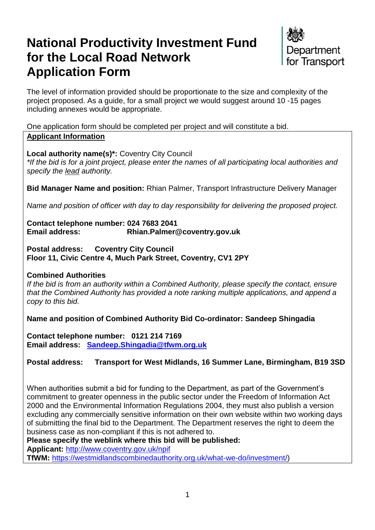# **National Productivity Investment Fund for the Local Road Network Application Form**



The level of information provided should be proportionate to the size and complexity of the project proposed. As a guide, for a small project we would suggest around 10 -15 pages including annexes would be appropriate.

One application form should be completed per project and will constitute a bid. **Applicant Information**

**Local authority name(s)\*:** Coventry City Council *\*If the bid is for a joint project, please enter the names of all participating local authorities and specify the lead authority.*

**Bid Manager Name and position:** Rhian Palmer, Transport Infrastructure Delivery Manager

*Name and position of officer with day to day responsibility for delivering the proposed project.* 

**Contact telephone number: 024 7683 2041 Email address: Rhian.Palmer@coventry.gov.uk**

**Postal address: Coventry City Council Floor 11, Civic Centre 4, Much Park Street, Coventry, CV1 2PY**

#### **Combined Authorities**

*If the bid is from an authority within a Combined Authority, please specify the contact, ensure that the Combined Authority has provided a note ranking multiple applications, and append a copy to this bid.*

**Name and position of Combined Authority Bid Co-ordinator: Sandeep Shingadia**

**Contact telephone number: 0121 214 7169 Email address: [Sandeep.Shingadia@tfwm.org.uk](mailto:Sandeep.Shingadia@tfwm.org.uk)** 

## **Postal address: Transport for West Midlands, 16 Summer Lane, Birmingham, B19 3SD**

When authorities submit a bid for funding to the Department, as part of the Government's commitment to greater openness in the public sector under the Freedom of Information Act 2000 and the Environmental Information Regulations 2004, they must also publish a version excluding any commercially sensitive information on their own website within two working days of submitting the final bid to the Department. The Department reserves the right to deem the business case as non-compliant if this is not adhered to.

**Please specify the weblink where this bid will be published: Applicant:** <http://www.coventry.gov.uk/npif>

**TfWM:** [https://westmidlandscombinedauthority.org.uk/what-we-do/investment/\)](https://westmidlandscombinedauthority.org.uk/what-we-do/investment/)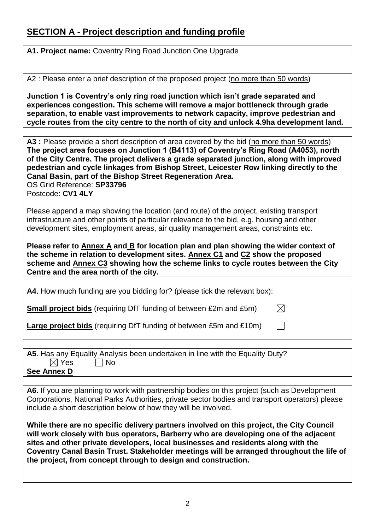# **SECTION A - Project description and funding profile**

**A1. Project name:** Coventry Ring Road Junction One Upgrade

A2 : Please enter a brief description of the proposed project (no more than 50 words)

**Junction 1 is Coventry's only ring road junction which isn't grade separated and experiences congestion. This scheme will remove a major bottleneck through grade separation, to enable vast improvements to network capacity, improve pedestrian and cycle routes from the city centre to the north of city and unlock 4.9ha development land.**

A3 : Please provide a short description of area covered by the bid (no more than 50 words) **The project area focuses on Junction 1 (B4113) of Coventry's Ring Road (A4053), north of the City Centre. The project delivers a grade separated junction, along with improved pedestrian and cycle linkages from Bishop Street, Leicester Row linking directly to the Canal Basin, part of the Bishop Street Regeneration Area.** OS Grid Reference: **SP33796** Postcode: **CV1 4LY**

Please append a map showing the location (and route) of the project, existing transport infrastructure and other points of particular relevance to the bid, e.g. housing and other development sites, employment areas, air quality management areas, constraints etc.

**Please refer to Annex A and B for location plan and plan showing the wider context of the scheme in relation to development sites. Annex C1 and C2 show the proposed scheme and Annex C3 showing how the scheme links to cycle routes between the City Centre and the area north of the city.**

| A4. How much funding are you bidding for? (please tick the relevant box): |           |
|---------------------------------------------------------------------------|-----------|
| <b>Small project bids</b> (requiring DfT funding of between £2m and £5m)  | $\bowtie$ |
| Large project bids (requiring DfT funding of between £5m and £10m)        |           |
|                                                                           |           |

|                 | A5. Has any Equality Analysis been undertaken in line with the Equality Duty? |  |
|-----------------|-------------------------------------------------------------------------------|--|
| $\boxtimes$ Yes | $\Box$ No                                                                     |  |
| See Annex D     |                                                                               |  |

**A6.** If you are planning to work with partnership bodies on this project (such as Development Corporations, National Parks Authorities, private sector bodies and transport operators) please include a short description below of how they will be involved.

**While there are no specific delivery partners involved on this project, the City Council will work closely with bus operators, Barberry who are developing one of the adjacent sites and other private developers, local businesses and residents along with the Coventry Canal Basin Trust. Stakeholder meetings will be arranged throughout the life of the project, from concept through to design and construction.**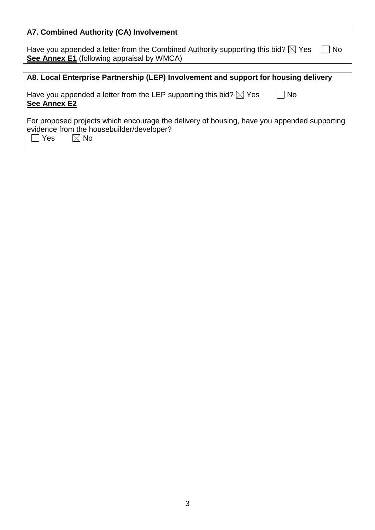| A7. Combined Authority (CA) Involvement                                                                                                                             |
|---------------------------------------------------------------------------------------------------------------------------------------------------------------------|
| Have you appended a letter from the Combined Authority supporting this bid? $\boxtimes$ Yes<br>No<br>See Annex E1 (following appraisal by WMCA)                     |
|                                                                                                                                                                     |
| A8. Local Enterprise Partnership (LEP) Involvement and support for housing delivery                                                                                 |
| Have you appended a letter from the LEP supporting this bid? $\boxtimes$ Yes<br><b>No</b><br><b>See Annex E2</b>                                                    |
| For proposed projects which encourage the delivery of housing, have you appended supporting<br>evidence from the housebuilder/developer?<br>l Yes<br>$\boxtimes$ No |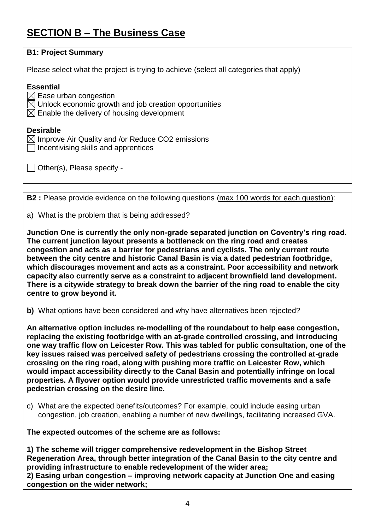# **SECTION B – The Business Case**

| <b>B1: Project Summary</b>                                                                                                                                                                                                                                                                                                                                                                                                                                                                                                                                                                                                                                                                     |
|------------------------------------------------------------------------------------------------------------------------------------------------------------------------------------------------------------------------------------------------------------------------------------------------------------------------------------------------------------------------------------------------------------------------------------------------------------------------------------------------------------------------------------------------------------------------------------------------------------------------------------------------------------------------------------------------|
| Please select what the project is trying to achieve (select all categories that apply)                                                                                                                                                                                                                                                                                                                                                                                                                                                                                                                                                                                                         |
| <b>Essential</b><br>$\boxtimes$ Ease urban congestion<br>$\boxtimes$ Unlock economic growth and job creation opportunities<br>$\boxtimes$ Enable the delivery of housing development                                                                                                                                                                                                                                                                                                                                                                                                                                                                                                           |
| <b>Desirable</b><br>$\boxtimes$ Improve Air Quality and /or Reduce CO2 emissions<br>Incentivising skills and apprentices                                                                                                                                                                                                                                                                                                                                                                                                                                                                                                                                                                       |
| Other(s), Please specify -                                                                                                                                                                                                                                                                                                                                                                                                                                                                                                                                                                                                                                                                     |
| <b>B2</b> : Please provide evidence on the following questions (max 100 words for each question):                                                                                                                                                                                                                                                                                                                                                                                                                                                                                                                                                                                              |
|                                                                                                                                                                                                                                                                                                                                                                                                                                                                                                                                                                                                                                                                                                |
| a) What is the problem that is being addressed?                                                                                                                                                                                                                                                                                                                                                                                                                                                                                                                                                                                                                                                |
| Junction One is currently the only non-grade separated junction on Coventry's ring road.<br>The current junction layout presents a bottleneck on the ring road and creates<br>congestion and acts as a barrier for pedestrians and cyclists. The only current route<br>between the city centre and historic Canal Basin is via a dated pedestrian footbridge,<br>which discourages movement and acts as a constraint. Poor accessibility and network<br>capacity also currently serve as a constraint to adjacent brownfield land development.<br>There is a citywide strategy to break down the barrier of the ring road to enable the city<br>centre to grow beyond it.                      |
| b) What options have been considered and why have alternatives been rejected?                                                                                                                                                                                                                                                                                                                                                                                                                                                                                                                                                                                                                  |
| An alternative option includes re-modelling of the roundabout to help ease congestion,<br>replacing the existing footbridge with an at-grade controlled crossing, and introducing<br>one way traffic flow on Leicester Row. This was tabled for public consultation, one of the<br>key issues raised was perceived safety of pedestrians crossing the controlled at-grade<br>crossing on the ring road, along with pushing more traffic on Leicester Row, which<br>would impact accessibility directly to the Canal Basin and potentially infringe on local<br>properties. A flyover option would provide unrestricted traffic movements and a safe<br>pedestrian crossing on the desire line. |
| c) What are the expected benefits/outcomes? For example, could include easing urban<br>congestion, job creation, enabling a number of new dwellings, facilitating increased GVA.                                                                                                                                                                                                                                                                                                                                                                                                                                                                                                               |
| The expected outcomes of the scheme are as follows:                                                                                                                                                                                                                                                                                                                                                                                                                                                                                                                                                                                                                                            |
| 1) The scheme will trigger comprehensive redevelopment in the Bishop Street<br>Regeneration Area, through better integration of the Canal Basin to the city centre and<br>providing infrastructure to enable redevelopment of the wider area;<br>2) Easing urban congestion – improving network capacity at Junction One and easing<br>congestion on the wider network;                                                                                                                                                                                                                                                                                                                        |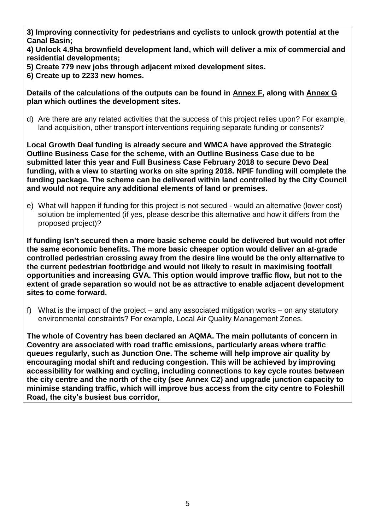**3) Improving connectivity for pedestrians and cyclists to unlock growth potential at the Canal Basin;**

**4) Unlock 4.9ha brownfield development land, which will deliver a mix of commercial and residential developments;**

**5) Create 779 new jobs through adjacent mixed development sites.** 

**6) Create up to 2233 new homes.**

**Details of the calculations of the outputs can be found in Annex F, along with Annex G plan which outlines the development sites.**

d) Are there are any related activities that the success of this project relies upon? For example, land acquisition, other transport interventions requiring separate funding or consents?

**Local Growth Deal funding is already secure and WMCA have approved the Strategic Outline Business Case for the scheme, with an Outline Business Case due to be submitted later this year and Full Business Case February 2018 to secure Devo Deal funding, with a view to starting works on site spring 2018. NPIF funding will complete the funding package. The scheme can be delivered within land controlled by the City Council and would not require any additional elements of land or premises.**

e) What will happen if funding for this project is not secured - would an alternative (lower cost) solution be implemented (if yes, please describe this alternative and how it differs from the proposed project)?

**If funding isn't secured then a more basic scheme could be delivered but would not offer the same economic benefits. The more basic cheaper option would deliver an at-grade controlled pedestrian crossing away from the desire line would be the only alternative to the current pedestrian footbridge and would not likely to result in maximising footfall opportunities and increasing GVA. This option would improve traffic flow, but not to the extent of grade separation so would not be as attractive to enable adjacent development sites to come forward.**

f) What is the impact of the project – and any associated mitigation works – on any statutory environmental constraints? For example, Local Air Quality Management Zones.

**The whole of Coventry has been declared an AQMA. The main pollutants of concern in Coventry are associated with road traffic emissions, particularly areas where traffic queues regularly, such as Junction One. The scheme will help improve air quality by encouraging modal shift and reducing congestion. This will be achieved by improving accessibility for walking and cycling, including connections to key cycle routes between the city centre and the north of the city (see Annex C2) and upgrade junction capacity to minimise standing traffic, which will improve bus access from the city centre to Foleshill Road, the city's busiest bus corridor,**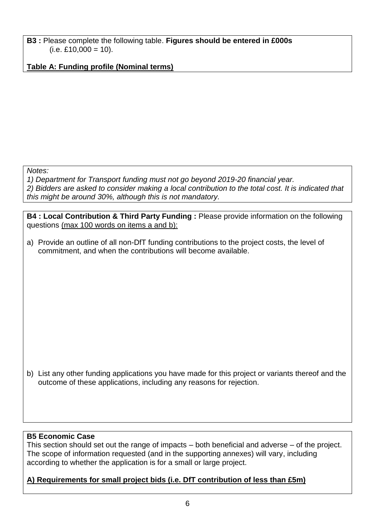**B3 :** Please complete the following table. **Figures should be entered in £000s**  $(i.e. £10,000 = 10).$ 

**Table A: Funding profile (Nominal terms)**

*Notes:*

*1) Department for Transport funding must not go beyond 2019-20 financial year. 2) Bidders are asked to consider making a local contribution to the total cost. It is indicated that this might be around 30%, although this is not mandatory.*

**B4 : Local Contribution & Third Party Funding :** Please provide information on the following questions (max 100 words on items a and b):

a) Provide an outline of all non-DfT funding contributions to the project costs, the level of commitment, and when the contributions will become available.

b) List any other funding applications you have made for this project or variants thereof and the outcome of these applications, including any reasons for rejection.

## **B5 Economic Case**

This section should set out the range of impacts – both beneficial and adverse – of the project. The scope of information requested (and in the supporting annexes) will vary, including according to whether the application is for a small or large project.

## **A) Requirements for small project bids (i.e. DfT contribution of less than £5m)**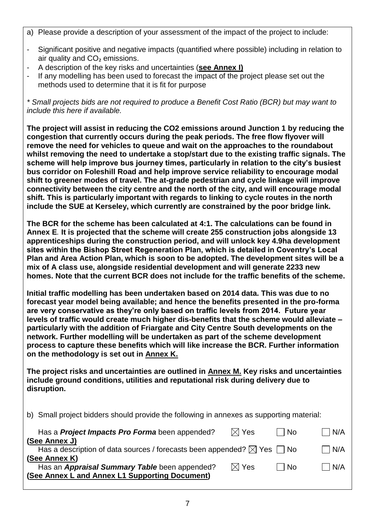- a) Please provide a description of your assessment of the impact of the project to include:
- Significant positive and negative impacts (quantified where possible) including in relation to air quality and CO₂ emissions.
- A description of the key risks and uncertainties (**see Annex I)**
- If any modelling has been used to forecast the impact of the project please set out the methods used to determine that it is fit for purpose

*\* Small projects bids are not required to produce a Benefit Cost Ratio (BCR) but may want to include this here if available.*

**The project will assist in reducing the CO2 emissions around Junction 1 by reducing the congestion that currently occurs during the peak periods. The free flow flyover will remove the need for vehicles to queue and wait on the approaches to the roundabout whilst removing the need to undertake a stop/start due to the existing traffic signals. The scheme will help improve bus journey times, particularly in relation to the city's busiest bus corridor on Foleshill Road and help improve service reliability to encourage modal shift to greener modes of travel. The at-grade pedestrian and cycle linkage will improve connectivity between the city centre and the north of the city, and will encourage modal shift. This is particularly important with regards to linking to cycle routes in the north include the SUE at Kerseley, which currently are constrained by the poor bridge link.**

**The BCR for the scheme has been calculated at 4:1. The calculations can be found in Annex E***.* **It is projected that the scheme will create 255 construction jobs alongside 13 apprenticeships during the construction period, and will unlock key 4.9ha development sites within the Bishop Street Regeneration Plan, which is detailed in Coventry's Local Plan and Area Action Plan, which is soon to be adopted. The development sites will be a mix of A class use, alongside residential development and will generate 2233 new homes. Note that the current BCR does not include for the traffic benefits of the scheme.**

**Initial traffic modelling has been undertaken based on 2014 data. This was due to no forecast year model being available; and hence the benefits presented in the pro-forma are very conservative as they're only based on traffic levels from 2014. Future year levels of traffic would create much higher dis-benefits that the scheme would alleviate – particularly with the addition of Friargate and City Centre South developments on the network. Further modelling will be undertaken as part of the scheme development process to capture these benefits which will like increase the BCR. Further information on the methodology is set out in Annex K.**

**The project risks and uncertainties are outlined in Annex M. Key risks and uncertainties include ground conditions, utilities and reputational risk during delivery due to disruption.**

b) Small project bidders should provide the following in annexes as supporting material:

| Has a <b>Project Impacts Pro Forma</b> been appended?                                                   | $\boxtimes$ Yes | l No | N/A           |
|---------------------------------------------------------------------------------------------------------|-----------------|------|---------------|
| (See Annex J)<br>Has a description of data sources / forecasts been appended? $\boxtimes$ Yes $\Box$ No |                 |      | $\bigcup$ N/A |
| (See Annex K)                                                                                           |                 |      |               |
| Has an Appraisal Summary Table been appended?<br>(See Annex L and Annex L1 Supporting Document)         | $\boxtimes$ Yes | No   | N/A           |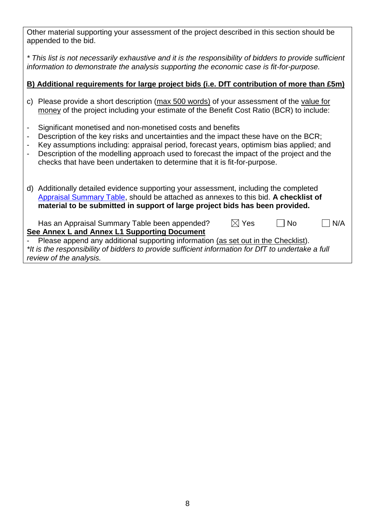Other material supporting your assessment of the project described in this section should be appended to the bid.

*\* This list is not necessarily exhaustive and it is the responsibility of bidders to provide sufficient information to demonstrate the analysis supporting the economic case is fit-for-purpose.*

## **B) Additional requirements for large project bids (i.e. DfT contribution of more than £5m)**

- c) Please provide a short description (max 500 words) of your assessment of the value for money of the project including your estimate of the Benefit Cost Ratio (BCR) to include:
- Significant monetised and non-monetised costs and benefits
- Description of the key risks and uncertainties and the impact these have on the BCR;
- Key assumptions including: appraisal period, forecast years, optimism bias applied; and
- Description of the modelling approach used to forecast the impact of the project and the checks that have been undertaken to determine that it is fit-for-purpose.
- d) Additionally detailed evidence supporting your assessment, including the completed [Appraisal Summary Table,](https://www.gov.uk/government/publications/webtag-appraisal-tables) should be attached as annexes to this bid. **A checklist of material to be submitted in support of large project bids has been provided.**

| Has an Appraisal Summary Table been appended?                                        | $\boxtimes$ Yes | $\Box$ No | $\Box$ N/A |
|--------------------------------------------------------------------------------------|-----------------|-----------|------------|
| See Annex L and Annex L1 Supporting Document                                         |                 |           |            |
| - Please append any additional supporting information (as set out in the Checklist). |                 |           |            |

*\*It is the responsibility of bidders to provide sufficient information for DfT to undertake a full review of the analysis.*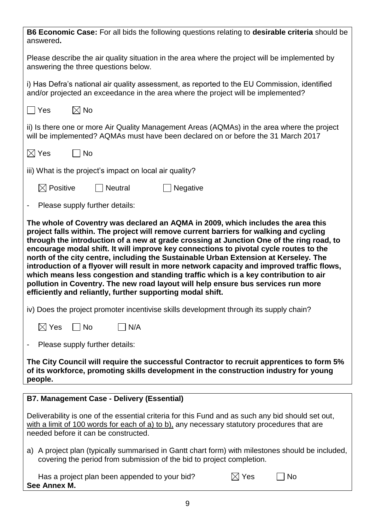| B6 Economic Case: For all bids the following questions relating to desirable criteria should be<br>answered.                                                                                                                                                                                                                                                                                                                                                                                                                                                                                                                                                                                                |  |  |  |
|-------------------------------------------------------------------------------------------------------------------------------------------------------------------------------------------------------------------------------------------------------------------------------------------------------------------------------------------------------------------------------------------------------------------------------------------------------------------------------------------------------------------------------------------------------------------------------------------------------------------------------------------------------------------------------------------------------------|--|--|--|
| Please describe the air quality situation in the area where the project will be implemented by<br>answering the three questions below.                                                                                                                                                                                                                                                                                                                                                                                                                                                                                                                                                                      |  |  |  |
| i) Has Defra's national air quality assessment, as reported to the EU Commission, identified<br>and/or projected an exceedance in the area where the project will be implemented?                                                                                                                                                                                                                                                                                                                                                                                                                                                                                                                           |  |  |  |
| $\boxtimes$ No<br>  Yes                                                                                                                                                                                                                                                                                                                                                                                                                                                                                                                                                                                                                                                                                     |  |  |  |
| ii) Is there one or more Air Quality Management Areas (AQMAs) in the area where the project<br>will be implemented? AQMAs must have been declared on or before the 31 March 2017                                                                                                                                                                                                                                                                                                                                                                                                                                                                                                                            |  |  |  |
| $\boxtimes$ Yes<br>    No                                                                                                                                                                                                                                                                                                                                                                                                                                                                                                                                                                                                                                                                                   |  |  |  |
| iii) What is the project's impact on local air quality?                                                                                                                                                                                                                                                                                                                                                                                                                                                                                                                                                                                                                                                     |  |  |  |
| $\boxtimes$ Positive<br>$\Box$ Neutral<br>$\blacksquare$ Negative                                                                                                                                                                                                                                                                                                                                                                                                                                                                                                                                                                                                                                           |  |  |  |
| Please supply further details:<br>$\blacksquare$                                                                                                                                                                                                                                                                                                                                                                                                                                                                                                                                                                                                                                                            |  |  |  |
| project falls within. The project will remove current barriers for walking and cycling<br>through the introduction of a new at grade crossing at Junction One of the ring road, to<br>encourage modal shift. It will improve key connections to pivotal cycle routes to the<br>north of the city centre, including the Sustainable Urban Extension at Kerseley. The<br>introduction of a flyover will result in more network capacity and improved traffic flows,<br>which means less congestion and standing traffic which is a key contribution to air<br>pollution in Coventry. The new road layout will help ensure bus services run more<br>efficiently and reliantly, further supporting modal shift. |  |  |  |
| iv) Does the project promoter incentivise skills development through its supply chain?                                                                                                                                                                                                                                                                                                                                                                                                                                                                                                                                                                                                                      |  |  |  |
| $\boxtimes$ Yes<br>$\Box$ No<br>$\big  N/A$                                                                                                                                                                                                                                                                                                                                                                                                                                                                                                                                                                                                                                                                 |  |  |  |
| Please supply further details:                                                                                                                                                                                                                                                                                                                                                                                                                                                                                                                                                                                                                                                                              |  |  |  |
| The City Council will require the successful Contractor to recruit apprentices to form 5%<br>of its workforce, promoting skills development in the construction industry for young<br>people.                                                                                                                                                                                                                                                                                                                                                                                                                                                                                                               |  |  |  |
| <b>B7. Management Case - Delivery (Essential)</b>                                                                                                                                                                                                                                                                                                                                                                                                                                                                                                                                                                                                                                                           |  |  |  |
| Deliverability is one of the essential criteria for this Fund and as such any bid should set out,<br>with a limit of 100 words for each of a) to b), any necessary statutory procedures that are<br>needed before it can be constructed.                                                                                                                                                                                                                                                                                                                                                                                                                                                                    |  |  |  |
| a) A project plan (typically summarised in Gantt chart form) with milestones should be included,<br>covering the period from submission of the bid to project completion.                                                                                                                                                                                                                                                                                                                                                                                                                                                                                                                                   |  |  |  |
| Has a project plan been appended to your bid?<br>$\boxtimes$ Yes<br>No<br>See Annex M.                                                                                                                                                                                                                                                                                                                                                                                                                                                                                                                                                                                                                      |  |  |  |

9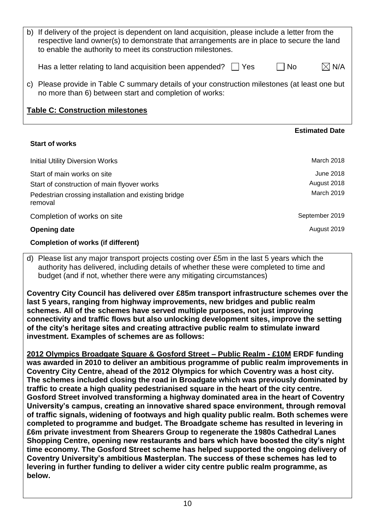| b) | If delivery of the project is dependent on land acquisition, please include a letter from the<br>respective land owner(s) to demonstrate that arrangements are in place to secure the land<br>to enable the authority to meet its construction milestones. |                        |  |
|----|------------------------------------------------------------------------------------------------------------------------------------------------------------------------------------------------------------------------------------------------------------|------------------------|--|
|    | Has a letter relating to land acquisition been appended? $\vert \vert$<br>l Yes                                                                                                                                                                            | $\boxtimes$ N/A<br>No. |  |
| C) | Please provide in Table C summary details of your construction milestones (at least one but<br>no more than 6) between start and completion of works:                                                                                                      |                        |  |
|    | <b>Table C: Construction milestones</b>                                                                                                                                                                                                                    |                        |  |
|    |                                                                                                                                                                                                                                                            |                        |  |
|    |                                                                                                                                                                                                                                                            | <b>Estimated Date</b>  |  |
|    | <b>Start of works</b>                                                                                                                                                                                                                                      |                        |  |
|    | <b>Initial Utility Diversion Works</b>                                                                                                                                                                                                                     | March 2018             |  |
|    | Start of main works on site                                                                                                                                                                                                                                | <b>June 2018</b>       |  |
|    | Start of construction of main flyover works                                                                                                                                                                                                                | August 2018            |  |
|    | Pedestrian crossing installation and existing bridge<br>removal                                                                                                                                                                                            | March 2019             |  |

#### **Opening date** August 2019

#### **Completion of works (if different)**

d) Please list any major transport projects costing over £5m in the last 5 years which the authority has delivered, including details of whether these were completed to time and budget (and if not, whether there were any mitigating circumstances)

**Coventry City Council has delivered over £85m transport infrastructure schemes over the last 5 years, ranging from highway improvements, new bridges and public realm schemes. All of the schemes have served multiple purposes, not just improving connectivity and traffic flows but also unlocking development sites, improve the setting of the city's heritage sites and creating attractive public realm to stimulate inward investment. Examples of schemes are as follows:**

**2012 Olympics Broadgate Square & Gosford Street – Public Realm - £10M ERDF funding was awarded in 2010 to deliver an ambitious programme of public realm improvements in Coventry City Centre, ahead of the 2012 Olympics for which Coventry was a host city. The schemes included closing the road in Broadgate which was previously dominated by traffic to create a high quality pedestrianised square in the heart of the city centre. Gosford Street involved transforming a highway dominated area in the heart of Coventry University's campus, creating an innovative shared space environment, through removal of traffic signals, widening of footways and high quality public realm. Both schemes were completed to programme and budget. The Broadgate scheme has resulted in levering in £6m private investment from Shearers Group to regenerate the 1980s Cathedral Lanes Shopping Centre, opening new restaurants and bars which have boosted the city's night time economy. The Gosford Street scheme has helped supported the ongoing delivery of Coventry University's ambitious Masterplan. The success of these schemes has led to levering in further funding to deliver a wider city centre public realm programme, as below.**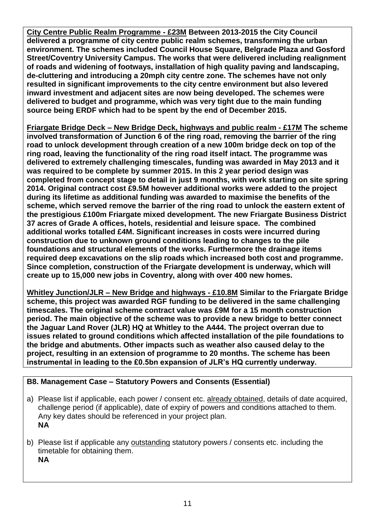**City Centre Public Realm Programme - £23M Between 2013-2015 the City Council delivered a programme of city centre public realm schemes, transforming the urban environment. The schemes included Council House Square, Belgrade Plaza and Gosford Street/Coventry University Campus. The works that were delivered including realignment of roads and widening of footways, installation of high quality paving and landscaping, de-cluttering and introducing a 20mph city centre zone. The schemes have not only resulted in significant improvements to the city centre environment but also levered inward investment and adjacent sites are now being developed. The schemes were delivered to budget and programme, which was very tight due to the main funding source being ERDF which had to be spent by the end of December 2015.**

**Friargate Bridge Deck – New Bridge Deck, highways and public realm - £17M The scheme involved transformation of Junction 6 of the ring road, removing the barrier of the ring road to unlock development through creation of a new 100m bridge deck on top of the ring road, leaving the functionality of the ring road itself intact. The programme was delivered to extremely challenging timescales, funding was awarded in May 2013 and it was required to be complete by summer 2015. In this 2 year period design was completed from concept stage to detail in just 9 months, with work starting on site spring 2014. Original contract cost £9.5M however additional works were added to the project during its lifetime as additional funding was awarded to maximise the benefits of the scheme, which served remove the barrier of the ring road to unlock the eastern extent of the prestigious £100m Friargate mixed development. The new Friargate Business District 37 acres of Grade A offices, hotels, residential and leisure space. The combined additional works totalled £4M. Significant increases in costs were incurred during construction due to unknown ground conditions leading to changes to the pile foundations and structural elements of the works. Furthermore the drainage items required deep excavations on the slip roads which increased both cost and programme. Since completion, construction of the Friargate development is underway, which will create up to 15,000 new jobs in Coventry, along with over 400 new homes.**

**Whitley Junction/JLR – New Bridge and highways - £10.8M Similar to the Friargate Bridge scheme, this project was awarded RGF funding to be delivered in the same challenging timescales. The original scheme contract value was £9M for a 15 month construction period. The main objective of the scheme was to provide a new bridge to better connect the Jaguar Land Rover (JLR) HQ at Whitley to the A444. The project overran due to issues related to ground conditions which affected installation of the pile foundations to the bridge and abutments. Other impacts such as weather also caused delay to the project, resulting in an extension of programme to 20 months. The scheme has been instrumental in leading to the £0.5bn expansion of JLR's HQ currently underway.**

## **B8. Management Case – Statutory Powers and Consents (Essential)**

- a) Please list if applicable, each power / consent etc. already obtained, details of date acquired, challenge period (if applicable), date of expiry of powers and conditions attached to them. Any key dates should be referenced in your project plan. **NA**
- b) Please list if applicable any outstanding statutory powers / consents etc. including the timetable for obtaining them. **NA**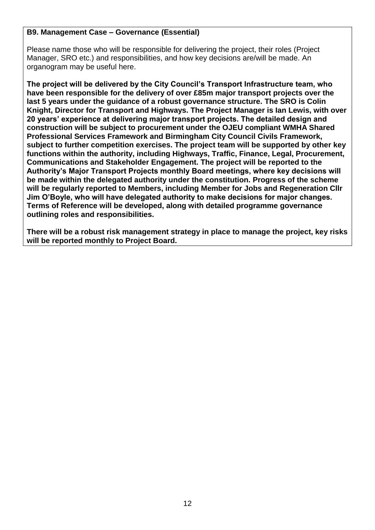#### **B9. Management Case – Governance (Essential)**

Please name those who will be responsible for delivering the project, their roles (Project Manager, SRO etc.) and responsibilities, and how key decisions are/will be made. An organogram may be useful here.

**The project will be delivered by the City Council's Transport Infrastructure team, who have been responsible for the delivery of over £85m major transport projects over the last 5 years under the guidance of a robust governance structure. The SRO is Colin Knight, Director for Transport and Highways. The Project Manager is Ian Lewis, with over 20 years' experience at delivering major transport projects. The detailed design and construction will be subject to procurement under the OJEU compliant WMHA Shared Professional Services Framework and Birmingham City Council Civils Framework, subject to further competition exercises. The project team will be supported by other key functions within the authority, including Highways, Traffic, Finance, Legal, Procurement, Communications and Stakeholder Engagement. The project will be reported to the Authority's Major Transport Projects monthly Board meetings, where key decisions will be made within the delegated authority under the constitution. Progress of the scheme will be regularly reported to Members, including Member for Jobs and Regeneration Cllr Jim O'Boyle, who will have delegated authority to make decisions for major changes. Terms of Reference will be developed, along with detailed programme governance outlining roles and responsibilities.**

**There will be a robust risk management strategy in place to manage the project, key risks will be reported monthly to Project Board.**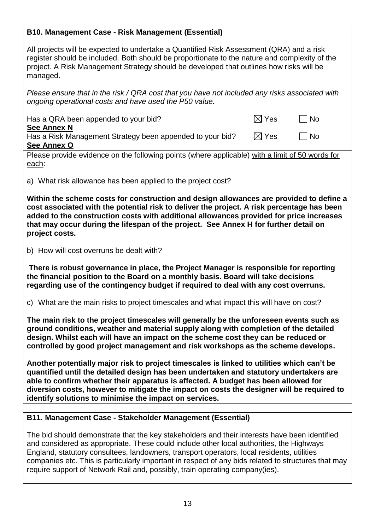## **B10. Management Case - Risk Management (Essential)**

All projects will be expected to undertake a Quantified Risk Assessment (QRA) and a risk register should be included. Both should be proportionate to the nature and complexity of the project. A Risk Management Strategy should be developed that outlines how risks will be managed.

*Please ensure that in the risk / QRA cost that you have not included any risks associated with ongoing operational costs and have used the P50 value.*

| Has a QRA been appended to your bid?                                                            | $\boxtimes$ Yes | <b>No</b> |  |
|-------------------------------------------------------------------------------------------------|-----------------|-----------|--|
| <b>See Annex N</b>                                                                              |                 |           |  |
| Has a Risk Management Strategy been appended to your bid?                                       | $\boxtimes$ Yes | l No      |  |
| See Annex O                                                                                     |                 |           |  |
| Placea provide ovidence on the following points (where applicable) with a limit of 50 words for |                 |           |  |

Please provide evidence on the following points (where applicable) with a limit of 50 words for each:

a) What risk allowance has been applied to the project cost?

**Within the scheme costs for construction and design allowances are provided to define a cost associated with the potential risk to deliver the project. A risk percentage has been added to the construction costs with additional allowances provided for price increases that may occur during the lifespan of the project. See Annex H for further detail on project costs.**

b) How will cost overruns be dealt with?

**There is robust governance in place, the Project Manager is responsible for reporting the financial position to the Board on a monthly basis. Board will take decisions regarding use of the contingency budget if required to deal with any cost overruns.**

c) What are the main risks to project timescales and what impact this will have on cost?

**The main risk to the project timescales will generally be the unforeseen events such as ground conditions, weather and material supply along with completion of the detailed design. Whilst each will have an impact on the scheme cost they can be reduced or controlled by good project management and risk workshops as the scheme develops.**

**Another potentially major risk to project timescales is linked to utilities which can't be quantified until the detailed design has been undertaken and statutory undertakers are able to confirm whether their apparatus is affected. A budget has been allowed for diversion costs, however to mitigate the impact on costs the designer will be required to identify solutions to minimise the impact on services.** 

#### **B11. Management Case - Stakeholder Management (Essential)**

The bid should demonstrate that the key stakeholders and their interests have been identified and considered as appropriate. These could include other local authorities, the Highways England, statutory consultees, landowners, transport operators, local residents, utilities companies etc. This is particularly important in respect of any bids related to structures that may require support of Network Rail and, possibly, train operating company(ies).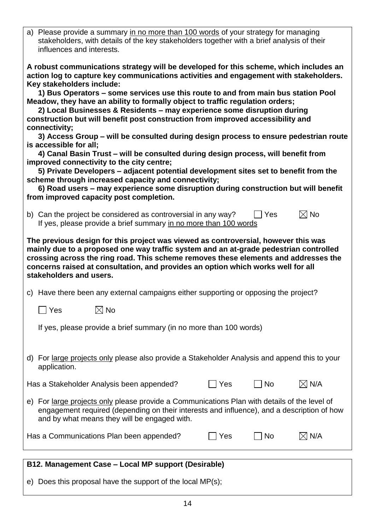| a) Please provide a summary in no more than 100 words of your strategy for managing<br>stakeholders, with details of the key stakeholders together with a brief analysis of their<br>influences and interests.                                                                                                                                                                                                                                               |  |  |  |  |
|--------------------------------------------------------------------------------------------------------------------------------------------------------------------------------------------------------------------------------------------------------------------------------------------------------------------------------------------------------------------------------------------------------------------------------------------------------------|--|--|--|--|
| A robust communications strategy will be developed for this scheme, which includes an<br>action log to capture key communications activities and engagement with stakeholders.<br>Key stakeholders include:<br>1) Bus Operators – some services use this route to and from main bus station Pool<br>Meadow, they have an ability to formally object to traffic regulation orders;<br>2) Local Businesses & Residents - may experience some disruption during |  |  |  |  |
| construction but will benefit post construction from improved accessibility and                                                                                                                                                                                                                                                                                                                                                                              |  |  |  |  |
| connectivity;                                                                                                                                                                                                                                                                                                                                                                                                                                                |  |  |  |  |
| 3) Access Group – will be consulted during design process to ensure pedestrian route<br>is accessible for all:                                                                                                                                                                                                                                                                                                                                               |  |  |  |  |
| 4) Canal Basin Trust – will be consulted during design process, will benefit from                                                                                                                                                                                                                                                                                                                                                                            |  |  |  |  |
| improved connectivity to the city centre;<br>5) Private Developers – adjacent potential development sites set to benefit from the                                                                                                                                                                                                                                                                                                                            |  |  |  |  |
| scheme through increased capacity and connectivity;                                                                                                                                                                                                                                                                                                                                                                                                          |  |  |  |  |
| 6) Road users – may experience some disruption during construction but will benefit<br>from improved capacity post completion.                                                                                                                                                                                                                                                                                                                               |  |  |  |  |
|                                                                                                                                                                                                                                                                                                                                                                                                                                                              |  |  |  |  |
| $\boxtimes$ No<br>b) Can the project be considered as controversial in any way?<br>  Yes<br>If yes, please provide a brief summary in no more than 100 words                                                                                                                                                                                                                                                                                                 |  |  |  |  |
| The previous design for this project was viewed as controversial, however this was<br>mainly due to a proposed one way traffic system and an at-grade pedestrian controlled<br>crossing across the ring road. This scheme removes these elements and addresses the<br>concerns raised at consultation, and provides an option which works well for all<br>stakeholders and users.                                                                            |  |  |  |  |
| c) Have there been any external campaigns either supporting or opposing the project?                                                                                                                                                                                                                                                                                                                                                                         |  |  |  |  |
| $\boxtimes$ No<br>Yes                                                                                                                                                                                                                                                                                                                                                                                                                                        |  |  |  |  |
| If yes, please provide a brief summary (in no more than 100 words)                                                                                                                                                                                                                                                                                                                                                                                           |  |  |  |  |
| d) For large projects only please also provide a Stakeholder Analysis and append this to your<br>application.                                                                                                                                                                                                                                                                                                                                                |  |  |  |  |
| $\boxtimes$ N/A<br>$\vert$ $\vert$ No<br>Has a Stakeholder Analysis been appended?<br>  Yes                                                                                                                                                                                                                                                                                                                                                                  |  |  |  |  |
| e) For large projects only please provide a Communications Plan with details of the level of<br>engagement required (depending on their interests and influence), and a description of how<br>and by what means they will be engaged with.                                                                                                                                                                                                                   |  |  |  |  |
| $\boxtimes$ N/A<br>No<br>Has a Communications Plan been appended?<br>Yes                                                                                                                                                                                                                                                                                                                                                                                     |  |  |  |  |
|                                                                                                                                                                                                                                                                                                                                                                                                                                                              |  |  |  |  |
|                                                                                                                                                                                                                                                                                                                                                                                                                                                              |  |  |  |  |

#### **B12. Management Case – Local MP support (Desirable)**

e) Does this proposal have the support of the local MP(s);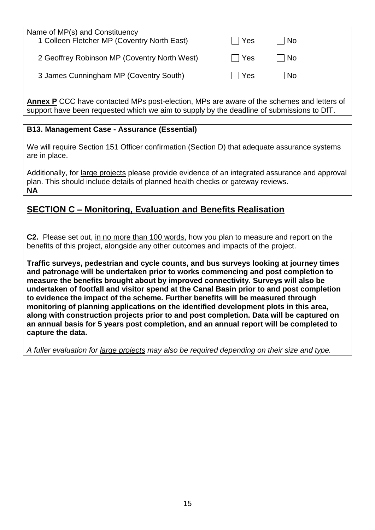| Name of MP(s) and Constituency<br>1 Colleen Fletcher MP (Coventry North East) | Yes        | l No                      |  |
|-------------------------------------------------------------------------------|------------|---------------------------|--|
| 2 Geoffrey Robinson MP (Coventry North West)                                  | $\Box$ Yes | $\overline{\mathsf{N}}$ o |  |
| 3 James Cunningham MP (Coventry South)                                        | $\Box$ Yes | No                        |  |
|                                                                               |            |                           |  |

**Annex P** CCC have contacted MPs post-election, MPs are aware of the schemes and letters of support have been requested which we aim to supply by the deadline of submissions to DfT.

#### **B13. Management Case - Assurance (Essential)**

We will require Section 151 Officer confirmation (Section D) that adequate assurance systems are in place.

Additionally, for large projects please provide evidence of an integrated assurance and approval plan. This should include details of planned health checks or gateway reviews. **NA**

# **SECTION C – Monitoring, Evaluation and Benefits Realisation**

**C2.** Please set out, in no more than 100 words, how you plan to measure and report on the benefits of this project, alongside any other outcomes and impacts of the project.

**Traffic surveys, pedestrian and cycle counts, and bus surveys looking at journey times and patronage will be undertaken prior to works commencing and post completion to measure the benefits brought about by improved connectivity. Surveys will also be undertaken of footfall and visitor spend at the Canal Basin prior to and post completion to evidence the impact of the scheme. Further benefits will be measured through monitoring of planning applications on the identified development plots in this area, along with construction projects prior to and post completion. Data will be captured on an annual basis for 5 years post completion, and an annual report will be completed to capture the data.**

*A fuller evaluation for large projects may also be required depending on their size and type.*